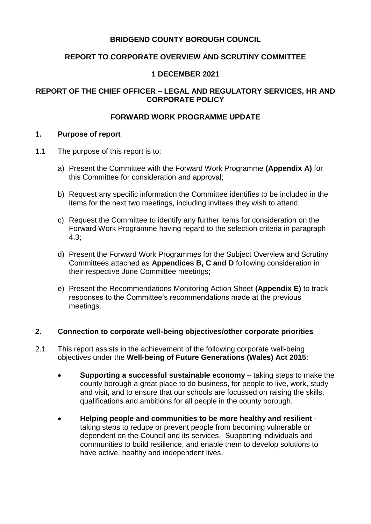# **BRIDGEND COUNTY BOROUGH COUNCIL**

## **REPORT TO CORPORATE OVERVIEW AND SCRUTINY COMMITTEE**

## **1 DECEMBER 2021**

# **REPORT OF THE CHIEF OFFICER – LEGAL AND REGULATORY SERVICES, HR AND CORPORATE POLICY**

## **FORWARD WORK PROGRAMME UPDATE**

## **1. Purpose of report**

- 1.1 The purpose of this report is to:
	- a) Present the Committee with the Forward Work Programme **(Appendix A)** for this Committee for consideration and approval;
	- b) Request any specific information the Committee identifies to be included in the items for the next two meetings, including invitees they wish to attend;
	- c) Request the Committee to identify any further items for consideration on the Forward Work Programme having regard to the selection criteria in paragraph 4.3;
	- d) Present the Forward Work Programmes for the Subject Overview and Scrutiny Committees attached as **Appendices B, C and D** following consideration in their respective June Committee meetings;
	- e) Present the Recommendations Monitoring Action Sheet **(Appendix E)** to track responses to the Committee's recommendations made at the previous meetings.

## **2. Connection to corporate well-being objectives/other corporate priorities**

- 2.1 This report assists in the achievement of the following corporate well-being objectives under the **Well-being of Future Generations (Wales) Act 2015**:
	- **Supporting a successful sustainable economy** taking steps to make the county borough a great place to do business, for people to live, work, study and visit, and to ensure that our schools are focussed on raising the skills, qualifications and ambitions for all people in the county borough.
	- **Helping people and communities to be more healthy and resilient** taking steps to reduce or prevent people from becoming vulnerable or dependent on the Council and its services. Supporting individuals and communities to build resilience, and enable them to develop solutions to have active, healthy and independent lives.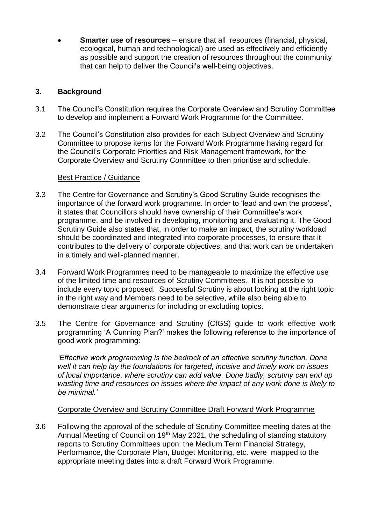**Smarter use of resources** – ensure that all resources (financial, physical, ecological, human and technological) are used as effectively and efficiently as possible and support the creation of resources throughout the community that can help to deliver the Council's well-being objectives.

## **3. Background**

- 3.1 The Council's Constitution requires the Corporate Overview and Scrutiny Committee to develop and implement a Forward Work Programme for the Committee.
- 3.2 The Council's Constitution also provides for each Subject Overview and Scrutiny Committee to propose items for the Forward Work Programme having regard for the Council's Corporate Priorities and Risk Management framework, for the Corporate Overview and Scrutiny Committee to then prioritise and schedule.

#### Best Practice / Guidance

- 3.3 The Centre for Governance and Scrutiny's Good Scrutiny Guide recognises the importance of the forward work programme. In order to 'lead and own the process', it states that Councillors should have ownership of their Committee's work programme, and be involved in developing, monitoring and evaluating it. The Good Scrutiny Guide also states that, in order to make an impact, the scrutiny workload should be coordinated and integrated into corporate processes, to ensure that it contributes to the delivery of corporate objectives, and that work can be undertaken in a timely and well-planned manner.
- 3.4 Forward Work Programmes need to be manageable to maximize the effective use of the limited time and resources of Scrutiny Committees. It is not possible to include every topic proposed. Successful Scrutiny is about looking at the right topic in the right way and Members need to be selective, while also being able to demonstrate clear arguments for including or excluding topics.
- 3.5 The Centre for Governance and Scrutiny (CfGS) guide to work effective work programming 'A Cunning Plan?' makes the following reference to the importance of good work programming:

*'Effective work programming is the bedrock of an effective scrutiny function. Done well it can help lay the foundations for targeted, incisive and timely work on issues of local importance, where scrutiny can add value. Done badly, scrutiny can end up wasting time and resources on issues where the impact of any work done is likely to be minimal.'*

### Corporate Overview and Scrutiny Committee Draft Forward Work Programme

3.6 Following the approval of the schedule of Scrutiny Committee meeting dates at the Annual Meeting of Council on 19<sup>th</sup> May 2021, the scheduling of standing statutory reports to Scrutiny Committees upon: the Medium Term Financial Strategy, Performance, the Corporate Plan, Budget Monitoring, etc. were mapped to the appropriate meeting dates into a draft Forward Work Programme.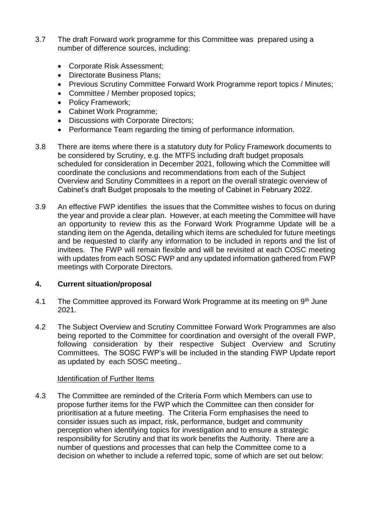- 3.7 The draft Forward work programme for this Committee was prepared using a number of difference sources, including:
	- Corporate Risk Assessment:
	- Directorate Business Plans;
	- Previous Scrutiny Committee Forward Work Programme report topics / Minutes;
	- Committee / Member proposed topics;
	- Policy Framework;
	- Cabinet Work Programme;
	- Discussions with Corporate Directors:
	- Performance Team regarding the timing of performance information.
- 3.8 There are items where there is a statutory duty for Policy Framework documents to be considered by Scrutiny, e.g. the MTFS including draft budget proposals scheduled for consideration in December 2021, following which the Committee will coordinate the conclusions and recommendations from each of the Subject Overview and Scrutiny Committees in a report on the overall strategic overview of Cabinet's draft Budget proposals to the meeting of Cabinet in February 2022.
- 3.9 An effective FWP identifies the issues that the Committee wishes to focus on during the year and provide a clear plan. However, at each meeting the Committee will have an opportunity to review this as the Forward Work Programme Update will be a standing item on the Agenda, detailing which items are scheduled for future meetings and be requested to clarify any information to be included in reports and the list of invitees. The FWP will remain flexible and will be revisited at each COSC meeting with updates from each SOSC FWP and any updated information gathered from FWP meetings with Corporate Directors.

# **4. Current situation/proposal**

- 4.1 The Committee approved its Forward Work Programme at its meeting on 9<sup>th</sup> June 2021.
- 4.2 The Subject Overview and Scrutiny Committee Forward Work Programmes are also being reported to the Committee for coordination and oversight of the overall FWP, following consideration by their respective Subject Overview and Scrutiny Committees. The SOSC FWP's will be included in the standing FWP Update report as updated by each SOSC meeting..

### Identification of Further Items

4.3 The Committee are reminded of the Criteria Form which Members can use to propose further items for the FWP which the Committee can then consider for prioritisation at a future meeting. The Criteria Form emphasises the need to consider issues such as impact, risk, performance, budget and community perception when identifying topics for investigation and to ensure a strategic responsibility for Scrutiny and that its work benefits the Authority. There are a number of questions and processes that can help the Committee come to a decision on whether to include a referred topic, some of which are set out below: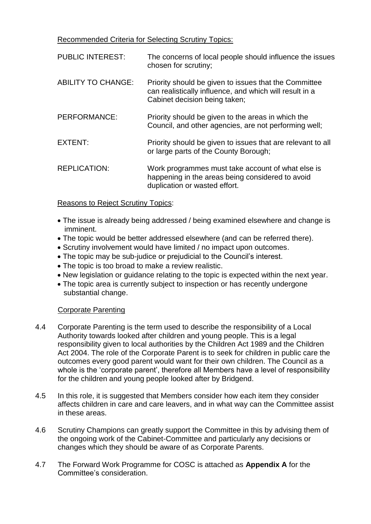Recommended Criteria for Selecting Scrutiny Topics:

| <b>PUBLIC INTEREST:</b>   | The concerns of local people should influence the issues<br>chosen for scrutiny;                                                                  |
|---------------------------|---------------------------------------------------------------------------------------------------------------------------------------------------|
| <b>ABILITY TO CHANGE:</b> | Priority should be given to issues that the Committee<br>can realistically influence, and which will result in a<br>Cabinet decision being taken; |
| PERFORMANCE:              | Priority should be given to the areas in which the<br>Council, and other agencies, are not performing well;                                       |
| EXTENT:                   | Priority should be given to issues that are relevant to all<br>or large parts of the County Borough;                                              |
| <b>REPLICATION:</b>       | Work programmes must take account of what else is<br>happening in the areas being considered to avoid<br>duplication or wasted effort.            |

## Reasons to Reject Scrutiny Topics:

- The issue is already being addressed / being examined elsewhere and change is imminent.
- The topic would be better addressed elsewhere (and can be referred there).
- Scrutiny involvement would have limited / no impact upon outcomes.
- The topic may be sub-judice or prejudicial to the Council's interest.
- The topic is too broad to make a review realistic.
- New legislation or guidance relating to the topic is expected within the next year.
- The topic area is currently subject to inspection or has recently undergone substantial change.

# Corporate Parenting

- 4.4 Corporate Parenting is the term used to describe the responsibility of a Local Authority towards looked after children and young people. This is a legal responsibility given to local authorities by the Children Act 1989 and the Children Act 2004. The role of the Corporate Parent is to seek for children in public care the outcomes every good parent would want for their own children. The Council as a whole is the 'corporate parent', therefore all Members have a level of responsibility for the children and young people looked after by Bridgend.
- 4.5 In this role, it is suggested that Members consider how each item they consider affects children in care and care leavers, and in what way can the Committee assist in these areas.
- 4.6 Scrutiny Champions can greatly support the Committee in this by advising them of the ongoing work of the Cabinet-Committee and particularly any decisions or changes which they should be aware of as Corporate Parents.
- 4.7 The Forward Work Programme for COSC is attached as **Appendix A** for the Committee's consideration.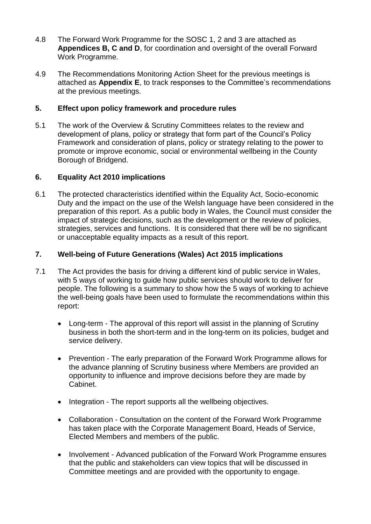- 4.8 The Forward Work Programme for the SOSC 1, 2 and 3 are attached as **Appendices B, C and D**, for coordination and oversight of the overall Forward Work Programme.
- 4.9 The Recommendations Monitoring Action Sheet for the previous meetings is attached as **Appendix E**, to track responses to the Committee's recommendations at the previous meetings.

## **5. Effect upon policy framework and procedure rules**

5.1 The work of the Overview & Scrutiny Committees relates to the review and development of plans, policy or strategy that form part of the Council's Policy Framework and consideration of plans, policy or strategy relating to the power to promote or improve economic, social or environmental wellbeing in the County Borough of Bridgend.

### **6. Equality Act 2010 implications**

6.1 The protected characteristics identified within the Equality Act, Socio-economic Duty and the impact on the use of the Welsh language have been considered in the preparation of this report. As a public body in Wales, the Council must consider the impact of strategic decisions, such as the development or the review of policies, strategies, services and functions. It is considered that there will be no significant or unacceptable equality impacts as a result of this report.

## **7. Well-being of Future Generations (Wales) Act 2015 implications**

- 7.1 The Act provides the basis for driving a different kind of public service in Wales, with 5 ways of working to guide how public services should work to deliver for people. The following is a summary to show how the 5 ways of working to achieve the well-being goals have been used to formulate the recommendations within this report:
	- Long-term The approval of this report will assist in the planning of Scrutiny business in both the short-term and in the long-term on its policies, budget and service delivery.
	- Prevention The early preparation of the Forward Work Programme allows for the advance planning of Scrutiny business where Members are provided an opportunity to influence and improve decisions before they are made by Cabinet.
	- Integration The report supports all the wellbeing objectives.
	- Collaboration Consultation on the content of the Forward Work Programme has taken place with the Corporate Management Board, Heads of Service, Elected Members and members of the public.
	- Involvement Advanced publication of the Forward Work Programme ensures that the public and stakeholders can view topics that will be discussed in Committee meetings and are provided with the opportunity to engage.